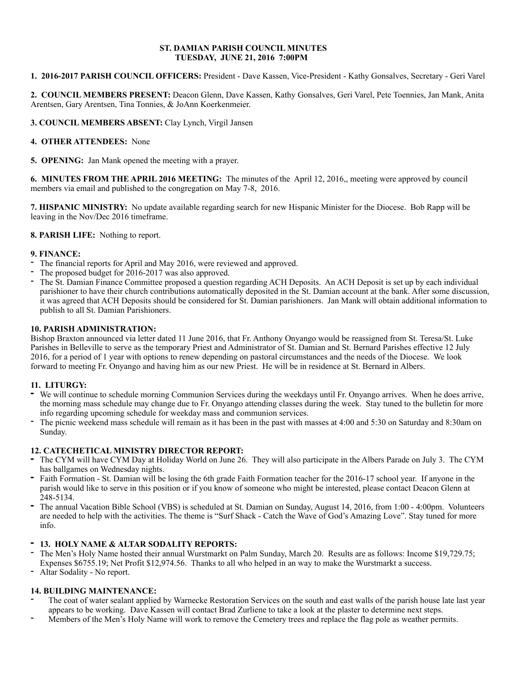#### **ST. DAMIAN PARISH COUNCIL MINUTES TUESDAY, JUNE 21, 2016 7:00PM**

**1. 2016-2017 PARISH COUNCIL OFFICERS:** President - Dave Kassen, Vice-President - Kathy Gonsalves, Secretary - Geri Varel

**2. COUNCIL MEMBERS PRESENT:** Deacon Glenn, Dave Kassen, Kathy Gonsalves, Geri Varel, Pete Toennies, Jan Mank, Anita Arentsen, Gary Arentsen, Tina Tonnies, & JoAnn Koerkenmeier.

**3. COUNCIL MEMBERS ABSENT:** Clay Lynch, Virgil Jansen

**4. OTHER ATTENDEES:** None

**5. OPENING:** Jan Mank opened the meeting with a prayer.

**6. MINUTES FROM THE APRIL 2016 MEETING:** The minutes of the April 12, 2016,, meeting were approved by council members via email and published to the congregation on May 7-8, 2016.

**7. HISPANIC MINISTRY:** No update available regarding search for new Hispanic Minister for the Diocese. Bob Rapp will be leaving in the Nov/Dec 2016 timeframe.

**8. PARISH LIFE:** Nothing to report.

#### **9. FINANCE:**

- The financial reports for April and May 2016, were reviewed and approved.
- The proposed budget for 2016-2017 was also approved.
- The St. Damian Finance Committee proposed a question regarding ACH Deposits. An ACH Deposit is set up by each individual parishioner to have their church contributions automatically deposited in the St. Damian account at the bank. After some discussion, it was agreed that ACH Deposits should be considered for St. Damian parishioners. Jan Mank will obtain additional information to publish to all St. Damian Parishioners.

## **10. PARISH ADMINISTRATION:**

Bishop Braxton announced via letter dated 11 June 2016, that Fr. Anthony Onyango would be reassigned from St. Teresa/St. Luke Parishes in Belleville to serve as the temporary Priest and Administrator of St. Damian and St. Bernard Parishes effective 12 July 2016, for a period of 1 year with options to renew depending on pastoral circumstances and the needs of the Diocese. We look forward to meeting Fr. Onyango and having him as our new Priest. He will be in residence at St. Bernard in Albers.

# **11. LITURGY:**

- **-** We will continue to schedule morning Communion Services during the weekdays until Fr. Onyango arrives. When he does arrive, the morning mass schedule may change due to Fr. Onyango attending classes during the week. Stay tuned to the bulletin for more info regarding upcoming schedule for weekday mass and communion services.
- The picnic weekend mass schedule will remain as it has been in the past with masses at 4:00 and 5:30 on Saturday and 8:30am on Sunday.

## **12. CATECHETICAL MINISTRY DIRECTOR REPORT:**

- **-** The CYM will have CYM Day at Holiday World on June 26. They will also participate in the Albers Parade on July 3. The CYM has ballgames on Wednesday nights.
- **-** Faith Formation St. Damian will be losing the 6th grade Faith Formation teacher for the 2016-17 school year. If anyone in the parish would like to serve in this position or if you know of someone who might be interested, please contact Deacon Glenn at 248-5134.
- **-** The annual Vacation Bible School (VBS) is scheduled at St. Damian on Sunday, August 14, 2016, from 1:00 4:00pm. Volunteers are needed to help with the activities. The theme is "Surf Shack - Catch the Wave of God's Amazing Love". Stay tuned for more info.

## **- 13. HOLY NAME & ALTAR SODALITY REPORTS:**

- The Men's Holy Name hosted their annual Wurstmarkt on Palm Sunday, March 20. Results are as follows: Income \$19,729.75; Expenses \$6755.19; Net Profit \$12,974.56. Thanks to all who helped in an way to make the Wurstmarkt a success.
- Altar Sodality No report.

## **14. BUILDING MAINTENANCE:**

- The coat of water sealant applied by Warnecke Restoration Services on the south and east walls of the parish house late last year appears to be working. Dave Kassen will contact Brad Zurliene to take a look at the plaster to determine next steps.
- Members of the Men's Holy Name will work to remove the Cemetery trees and replace the flag pole as weather permits.